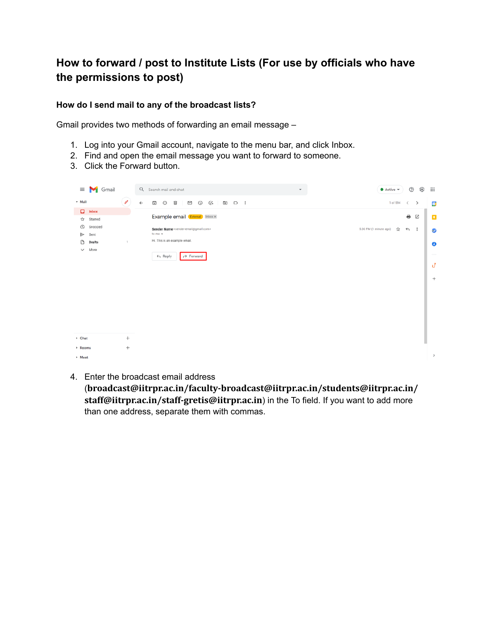## **How to forward / post to Institute Lists (For use by officials who have the permissions to post)**

## **How do I send mail to any of the broadcast lists?**

Gmail provides two methods of forwarding an email message –

- 1. Log into your Gmail account, navigate to the menu bar, and click Inbox.
- 2. Find and open the email message you want to forward to someone.
- 3. Click the Forward button.



4. Enter the broadcast email address

(**broadcast@iitrpr.ac.in/faculty-broadcast@iitrpr.ac.in/students@iitrpr.ac.in/ staff@iitrpr.ac.in/staff-gretis@iitrpr.ac.in**) in the To field. If you want to add more than one address, separate them with commas.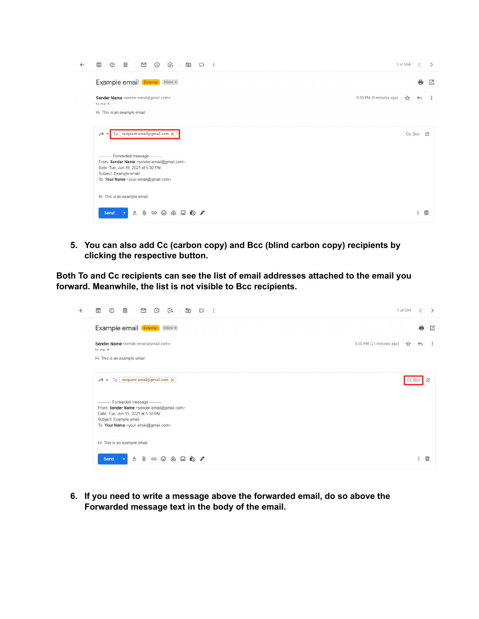| ← | ⊙4<br>⊠<br>$\odot$<br>⊡<br>回<br>⊡<br>⊕<br>∩                                                                            | 1 of 594 |              | ⋗   |
|---|------------------------------------------------------------------------------------------------------------------------|----------|--------------|-----|
|   | Example email (External) Inbox x                                                                                       |          | e            | ☑   |
|   | Sender Name <sender-email@gmail.com><br/>5:30 PM (5 minutes ago)<br/>to me <math>\star</math></sender-email@gmail.com> | Y.       | $\leftarrow$ | - 2 |
|   | Hi. This is an example email.                                                                                          |          |              |     |
|   | To $(recient-email@gmail.com \times)$<br>→ →<br>---------- Forwarded message ---------                                 | Cc Bcc Z |              |     |
|   | From: Sender Name <sender-email@gmail.com><br/>Date: Tue, Jun 15, 2021 at 5:30 PM</sender-email@gmail.com>             |          |              |     |
|   | Subject: Example email<br>To: Your Name <your-email@gmail.com></your-email@gmail.com>                                  |          |              |     |
|   | Hi. This is an example email.                                                                                          |          |              |     |
|   | Û<br>$\Box$ to $\mathscr I$<br>Send<br>$\underline{A}$<br>$\langle \Delta \rangle$<br>⊕<br>GD                          |          | ÷            | 画   |

**5. You can also add Cc (carbon copy) and Bcc (blind carbon copy) recipients by clicking the respective button.**

**Both To and Cc recipients can see the list of email addresses attached to the email you forward. Meanwhile, the list is not visible to Bcc recipients.**

| $C_{+}$<br>罓<br>⊓⊽<br>而<br>দি<br>$\circ$                                                                                                                                                                                                        | 1 of 594 |              |   |  |
|-------------------------------------------------------------------------------------------------------------------------------------------------------------------------------------------------------------------------------------------------|----------|--------------|---|--|
| Example email (External) Inbox x                                                                                                                                                                                                                |          | ₩            | M |  |
| Sender Name <sender-email@gmail.com><br/>5:30 PM (21 minutes ago)<br/>to me <math>\star</math><br/>Hi. This is an example email.</sender-email@gmail.com>                                                                                       | ☆        | $\leftarrow$ |   |  |
| $\rightarrow$ To (recipient-email@gmail.com X)                                                                                                                                                                                                  |          |              |   |  |
| ---------- Forwarded message ---------<br>From: Sender Name <sender-email@gmail.com><br/>Date: Tue, Jun 15, 2021 at 5:30 PM<br/>Subject: Example email<br/>To: Your Name <your-email@gmail.com></your-email@gmail.com></sender-email@gmail.com> |          |              |   |  |
| Hi. This is an example email.                                                                                                                                                                                                                   |          |              |   |  |
| $\Box$ no $\mathscr{S}$<br>Send<br>$\underline{A}$<br>GD<br>$\odot$<br>$\langle \Delta \rangle$                                                                                                                                                 |          |              | Ш |  |

**6. If you need to write a message above the forwarded email, do so above the Forwarded message text in the body of the email.**